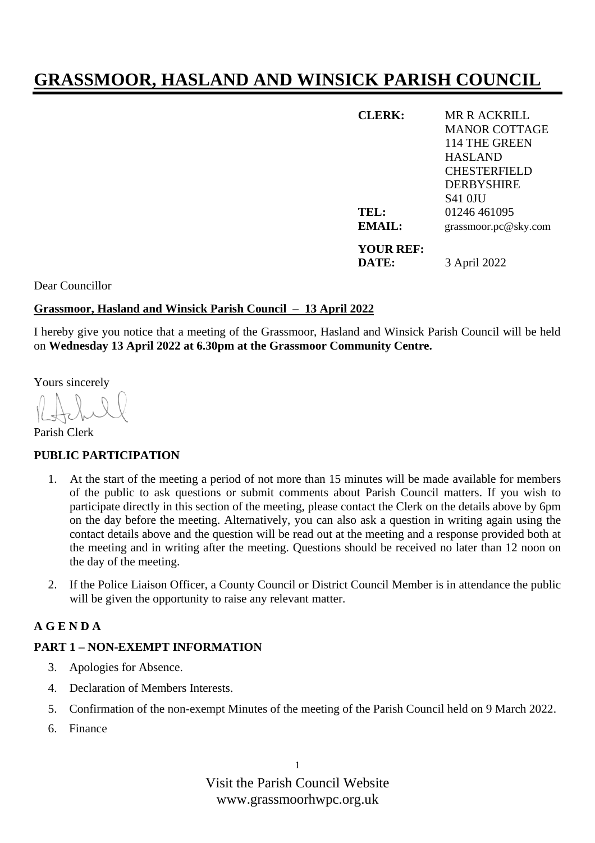# **GRASSMOOR, HASLAND AND WINSICK PARISH COUNCIL**

| <b>CLERK:</b>    | MR R ACKRILL         |
|------------------|----------------------|
|                  | <b>MANOR COTTAGE</b> |
|                  | 114 THE GREEN        |
|                  | <b>HASLAND</b>       |
|                  | <b>CHESTERFIELD</b>  |
|                  | <b>DERBYSHIRE</b>    |
|                  | <b>S41 OJU</b>       |
| TEL:             | 01246 461095         |
| EMAIL:           | grassmoor.pc@sky.com |
| <b>YOUR REF:</b> |                      |
| DATE:            | 3 April 2022         |

Dear Councillor

## **Grassmoor, Hasland and Winsick Parish Council – 13 April 2022**

I hereby give you notice that a meeting of the Grassmoor, Hasland and Winsick Parish Council will be held on **Wednesday 13 April 2022 at 6.30pm at the Grassmoor Community Centre.**

Yours sincerely

Parish Clerk

## **PUBLIC PARTICIPATION**

- 1. At the start of the meeting a period of not more than 15 minutes will be made available for members of the public to ask questions or submit comments about Parish Council matters. If you wish to participate directly in this section of the meeting, please contact the Clerk on the details above by 6pm on the day before the meeting. Alternatively, you can also ask a question in writing again using the contact details above and the question will be read out at the meeting and a response provided both at the meeting and in writing after the meeting. Questions should be received no later than 12 noon on the day of the meeting.
- 2. If the Police Liaison Officer, a County Council or District Council Member is in attendance the public will be given the opportunity to raise any relevant matter.

## **A G E N D A**

## **PART 1 – NON-EXEMPT INFORMATION**

- 3. Apologies for Absence.
- 4. Declaration of Members Interests.
- 5. Confirmation of the non-exempt Minutes of the meeting of the Parish Council held on 9 March 2022.
- 6. Finance

Visit the Parish Council Website www.grassmoorhwpc.org.uk

1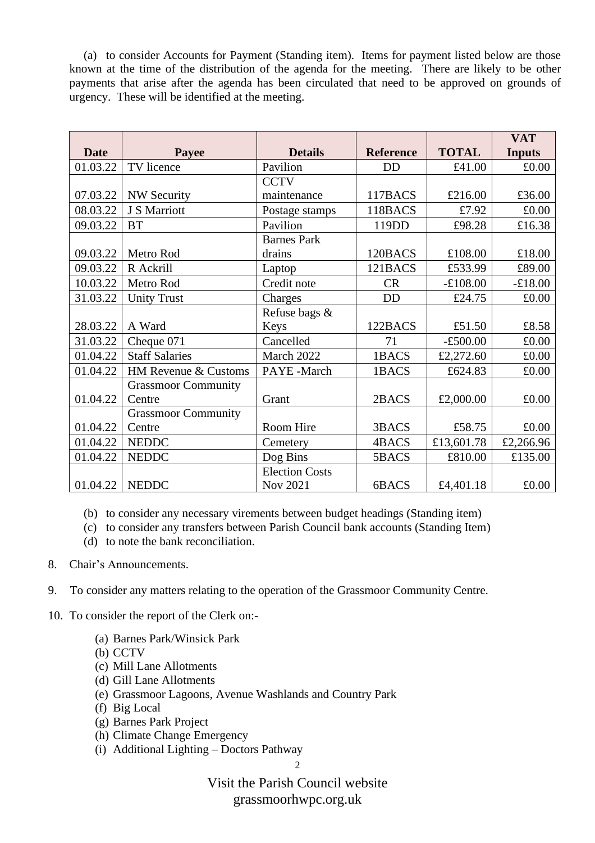(a) to consider Accounts for Payment (Standing item). Items for payment listed below are those known at the time of the distribution of the agenda for the meeting. There are likely to be other payments that arise after the agenda has been circulated that need to be approved on grounds of urgency. These will be identified at the meeting.

|             |                            |                       |                  |              | <b>VAT</b>    |
|-------------|----------------------------|-----------------------|------------------|--------------|---------------|
| <b>Date</b> | Payee                      | <b>Details</b>        | <b>Reference</b> | <b>TOTAL</b> | <b>Inputs</b> |
| 01.03.22    | TV licence                 | Pavilion              | <b>DD</b>        | £41.00       | £0.00         |
|             |                            | <b>CCTV</b>           |                  |              |               |
| 07.03.22    | <b>NW Security</b>         | maintenance           | 117BACS          | £216.00      | £36.00        |
| 08.03.22    | J S Marriott               | Postage stamps        | 118BACS          | £7.92        | £0.00         |
| 09.03.22    | <b>BT</b>                  | Pavilion              | 119DD            | £98.28       | £16.38        |
|             |                            | <b>Barnes Park</b>    |                  |              |               |
| 09.03.22    | Metro Rod                  | drains                | 120BACS          | £108.00      | £18.00        |
| 09.03.22    | R Ackrill                  | Laptop                | 121BACS          | £533.99      | £89.00        |
| 10.03.22    | Metro Rod                  | Credit note           | <b>CR</b>        | $-£108.00$   | $-£18.00$     |
| 31.03.22    | <b>Unity Trust</b>         | Charges               | <b>DD</b>        | £24.75       | £0.00         |
|             |                            | Refuse bags &         |                  |              |               |
| 28.03.22    | A Ward                     | Keys                  | 122BACS          | £51.50       | £8.58         |
| 31.03.22    | Cheque 071                 | Cancelled             | 71               | $-£500.00$   | £0.00         |
| 01.04.22    | <b>Staff Salaries</b>      | March 2022            | 1BACS            | £2,272.60    | £0.00         |
| 01.04.22    | HM Revenue & Customs       | PAYE-March            | 1BACS            | £624.83      | £0.00         |
|             | <b>Grassmoor Community</b> |                       |                  |              |               |
| 01.04.22    | Centre                     | Grant                 | 2BACS            | £2,000.00    | £0.00         |
|             | <b>Grassmoor Community</b> |                       |                  |              |               |
| 01.04.22    | Centre                     | Room Hire             | 3BACS            | £58.75       | £0.00         |
| 01.04.22    | <b>NEDDC</b>               | Cemetery              | 4BACS            | £13,601.78   | £2,266.96     |
| 01.04.22    | <b>NEDDC</b>               | Dog Bins              | 5BACS            | £810.00      | £135.00       |
|             |                            | <b>Election Costs</b> |                  |              |               |
| 01.04.22    | <b>NEDDC</b>               | <b>Nov 2021</b>       | 6BACS            | £4,401.18    | £0.00         |

(b) to consider any necessary virements between budget headings (Standing item)

(c) to consider any transfers between Parish Council bank accounts (Standing Item)

- (d) to note the bank reconciliation.
- 8. Chair's Announcements.
- 9. To consider any matters relating to the operation of the Grassmoor Community Centre.
- 10. To consider the report of the Clerk on:-
	- (a) Barnes Park/Winsick Park
	- (b) CCTV
	- (c) Mill Lane Allotments
	- (d) Gill Lane Allotments
	- (e) Grassmoor Lagoons, Avenue Washlands and Country Park
	- (f) Big Local
	- (g) Barnes Park Project
	- (h) Climate Change Emergency
	- (i) Additional Lighting Doctors Pathway

2

Visit the Parish Council website grassmoorhwpc.org.uk